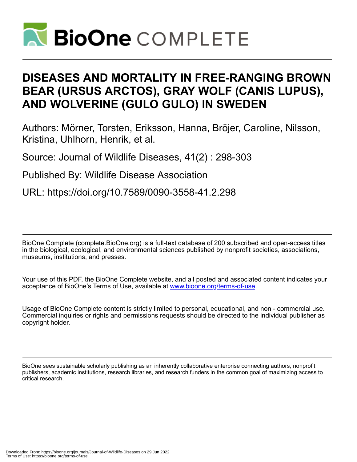

# **DISEASES AND MORTALITY IN FREE-RANGING BROWN BEAR (URSUS ARCTOS), GRAY WOLF (CANIS LUPUS), AND WOLVERINE (GULO GULO) IN SWEDEN**

Authors: Mörner, Torsten, Eriksson, Hanna, Bröjer, Caroline, Nilsson, Kristina, Uhlhorn, Henrik, et al.

Source: Journal of Wildlife Diseases, 41(2) : 298-303

Published By: Wildlife Disease Association

URL: https://doi.org/10.7589/0090-3558-41.2.298

BioOne Complete (complete.BioOne.org) is a full-text database of 200 subscribed and open-access titles in the biological, ecological, and environmental sciences published by nonprofit societies, associations, museums, institutions, and presses.

Your use of this PDF, the BioOne Complete website, and all posted and associated content indicates your acceptance of BioOne's Terms of Use, available at www.bioone.org/terms-of-use.

Usage of BioOne Complete content is strictly limited to personal, educational, and non - commercial use. Commercial inquiries or rights and permissions requests should be directed to the individual publisher as copyright holder.

BioOne sees sustainable scholarly publishing as an inherently collaborative enterprise connecting authors, nonprofit publishers, academic institutions, research libraries, and research funders in the common goal of maximizing access to critical research.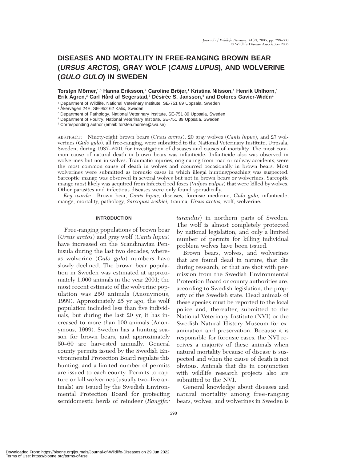# **DISEASES AND MORTALITY IN FREE-RANGING BROWN BEAR (URSUS ARCTOS), GRAY WOLF (CANIS LUPUS), AND WOLVERINE (GULO GULO) IN SWEDEN**

**Torsten Mo¨ rner,**1,5 **Hanna Eriksson,**<sup>2</sup> **Caroline Bro¨jer,**<sup>1</sup> **Kristina Nilsson,**<sup>1</sup> **Henrik Uhlhorn,**<sup>1</sup> **Erik Agren,<sup>3</sup> Carl Hård af Segerstad,<sup>3</sup> Désirée S. Jansson,<sup>4</sup> and Dolores Gavier-Widén<sup>1</sup>** 

<sup>1</sup> Department of Wildlife, National Veterinary Institute, SE-751 89 Uppsala, Sweden

<sup>2</sup> Åkervägen 24E, SE-952 62 Kalix, Sweden

<sup>3</sup> Department of Pathology, National Veterinary Institute, SE-751 89 Uppsala, Sweden

<sup>4</sup> Department of Poultry, National Veterinary Institute, SE-751 89 Uppsala, Sweden

<sup>5</sup> Corresponding author (email: torsten.morner@sva.se)

ABSTRACT: Ninety-eight brown bears (*Ursus arctos*), 20 gray wolves (*Canis lupus*), and 27 wolverines (*Gulo gulo*), all free-ranging, were submitted to the National Veterinary Institute, Uppsala, Sweden, during 1987–2001 for investigation of diseases and causes of mortality. The most common cause of natural death in brown bears was infanticide. Infanticide also was observed in wolverines but not in wolves. Traumatic injuries, originating from road or railway accidents, were the most common cause of death in wolves and occurred occasionally in brown bears. Most wolverines were submitted as forensic cases in which illegal hunting/poaching was suspected. Sarcoptic mange was observed in several wolves but not in brown bears or wolverines. Sarcoptic mange most likely was acquired from infected red foxes (*Vulpes vulpes*) that were killed by wolves. Other parasites and infectious diseases were only found sporadically.

*Key words:* Brown bear, *Canis lupus,* diseases, forensic medicine, *Gulo gulo,* infanticide, mange, mortality, pathology, *Sarcoptes scabiei,* trauma, *Ursus arctos,* wolf, wolverine.

# **INTRODUCTION**

Free-ranging populations of brown bear (*Ursus arctos*) and gray wolf (*Canis lupus*) have increased on the Scandinavian Peninsula during the last two decades, whereas wolverine (*Gulo gulo*) numbers have slowly declined. The brown bear population in Sweden was estimated at approximately 1,000 animals in the year 2001; the most recent estimate of the wolverine population was 250 animals (Anonymous, 1999). Approximately 25 yr ago, the wolf population included less than five individuals, but during the last 20 yr, it has increased to more than 100 animals (Anonymous, 1999). Sweden has a hunting season for brown bears, and approximately 50–60 are harvested annually. General county permits issued by the Swedish Environmental Protection Board regulate this hunting, and a limited number of permits are issued to each county. Permits to capture or kill wolverines (usually two–five animals) are issued by the Swedish Environmental Protection Board for protecting semidomestic herds of reindeer (*Rangifer* *tarandus*) in northern parts of Sweden. The wolf is almost completely protected by national legislation, and only a limited number of permits for killing individual problem wolves have been issued.

Brown bears, wolves, and wolverines that are found dead in nature, that die during research, or that are shot with permission from the Swedish Environmental Protection Board or county authorities are, according to Swedish legislation, the property of the Swedish state. Dead animals of these species must be reported to the local police and, thereafter, submitted to the National Veterinary Institute (NVI) or the Swedish Natural History Museum for examination and preservation. Because it is responsible for forensic cases, the NVI receives a majority of these animals when natural mortality because of disease is suspected and when the cause of death is not obvious. Animals that die in conjunction with wildlife research projects also are submitted to the NVI.

General knowledge about diseases and natural mortality among free-ranging bears, wolves, and wolverines in Sweden is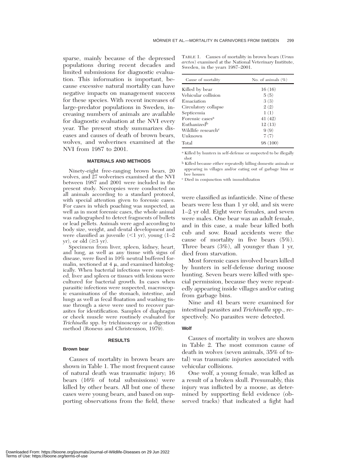sparse, mainly because of the depressed populations during recent decades and limited submissions for diagnostic evaluation. This information is important, because excessive natural mortality can have negative impacts on management success for these species. With recent increases of large-predator populations in Sweden, increasing numbers of animals are available for diagnostic evaluation at the NVI every year. The present study summarizes diseases and causes of death of brown bears, wolves, and wolverines examined at the NVI from 1987 to 2001.

### **MATERIALS AND METHODS**

Ninety-eight free-ranging brown bears, 20 wolves, and 27 wolverines examined at the NVI between 1987 and 2001 were included in the present study. Necropsies were conducted on all animals according to a standard protocol, with special attention given to forensic cases. For cases in which poaching was suspected, as well as in most forensic cases, the whole animal was radiographed to detect fragments of bullets or lead pellets. Animals were aged according to body size, weight, and dental development and were classified as juvenile  $(\leq 1 \text{ yr})$ , young  $(1-2 \text{ yr})$  $yr$ , or old  $(\geq 3 yr)$ .

Specimens from liver, spleen, kidney, heart, and lung, as well as any tissue with signs of disease, were fixed in 10% neutral buffered formalin, sectioned at  $4 \mu$ , and examined histologically. When bacterial infections were suspected, liver and spleen or tissues with lesions were cultured for bacterial growth. In cases when parasitic infections were suspected, macroscopic examinations of the stomach, intestine, and lungs as well as fecal floatation and washing tissue through a sieve were used to recover parasites for identification. Samples of diaphragm or cheek muscle were routinely evaluated for *Trichinella* spp. by trichinoscopy or a digestion method (Roneus and Christensson, 1979).

## **RESULTS**

#### **Brown bear**

Causes of mortality in brown bears are shown in Table 1. The most frequent cause of natural death was traumatic injury; 16 bears (16% of total submissions) were killed by other bears. All but one of these cases were young bears, and based on supporting observations from the field, these

TABLE 1. Causes of mortality in brown bears (*Ursus arctos*) examined at the National Veterinary Institute, Sweden, in the years 1987–2001.

| Cause of mortality             | No. of animals $(\%)$ |
|--------------------------------|-----------------------|
| Killed by bear                 | 16(16)                |
| Vehicular collision            | 5(5)                  |
| Emaciation                     | 3(3)                  |
| Circulatory collapse           | 2(2)                  |
| Septicemia                     | 1(1)                  |
| Forensic cases <sup>a</sup>    | 41(42)                |
| Euthanized <sup>b</sup>        | 12(13)                |
| Wildlife research <sup>c</sup> | 9(9)                  |
| Unknown                        | 7(7)                  |
| Total                          | 98 (100)              |
|                                |                       |

<sup>a</sup> Killed by hunters in self-defense or suspected to be illegally shot

<sup>b</sup> Killed because either repeatedly killing domestic animals or appearing in villages and/or eating out of garbage bins or bee houses

<sup>c</sup> Died in conjunction with immobilization

were classified as infanticide. Nine of these bears were less than 1 yr old, and six were 1–2 yr old. Eight were females, and seven were males. One bear was an adult female, and in this case, a male bear killed both cub and sow. Road accidents were the cause of mortality in five bears (5%). Three bears (3%), all younger than 1 yr, died from starvation.

Most forensic cases involved bears killed by hunters in self-defense during moose hunting. Seven bears were killed with special permission, because they were repeatedly appearing inside villages and/or eating from garbage bins.

Nine and 41 bears were examined for intestinal parasites and *Trichinella* spp., respectively. No parasites were detected.

#### **Wolf**

Causes of mortality in wolves are shown in Table 2. The most common cause of death in wolves (seven animals, 35% of total) was traumatic injuries associated with vehicular collisions.

One wolf, a young female, was killed as a result of a broken skull. Presumably, this injury was inflicted by a moose, as determined by supporting field evidence (observed tracks) that indicated a fight had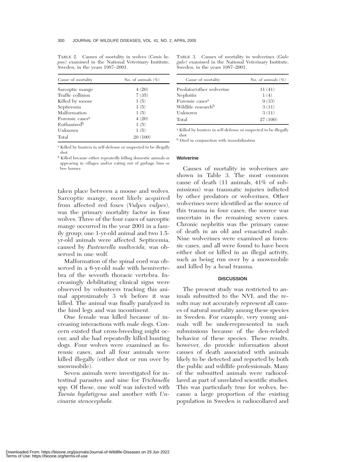TABLE 2. Causes of mortality in wolves (*Canis lupus*) examined in the National Veterinary Institute, Sweden, in the years 1987–2001.

| Cause of mortality          | No. of animals $(\%)$ |
|-----------------------------|-----------------------|
| Sarcoptic mange             | 4(20)                 |
| Traffic collision           | 7(35)                 |
| Killed by moose             | 1(5)                  |
| Septicemia                  | 1(5)                  |
| Malformation                | 1(5)                  |
| Forensic cases <sup>a</sup> | 4(20)                 |
| Euthanized <sup>b</sup>     | 1(5)                  |
| Unknown                     | 1(5)                  |
| Total                       | 20(100)               |

TABLE 3. Causes of mortality in wolverines (*Gulo gulo*) examined in the National Veterinary Institute, Sweden, in the years 1987–2001.

| Cause of mortality             | No. of animals $(\%)$ |
|--------------------------------|-----------------------|
| Predator/other wolverine       | 11(41)                |
| Nephritis                      | 1(4)                  |
| Forensic cases <sup>a</sup>    | 9(33)                 |
| Wildlife research <sup>b</sup> | 3(11)                 |
| Unknown                        | 3(11)                 |
| Total                          | 27(100)               |

<sup>a</sup> Killed by hunters in self-defense or suspected to be illegally shot

<sup>b</sup> Killed because either repeatedly killing domestic animals or appearing in villages and/or eating out of garbage bins or bee houses

taken place between a moose and wolves. Sarcoptic mange, most likely acquired from affected red foxes (*Vulpes vulpes*), was the primary mortality factor in four wolves. Three of the four cases of sarcoptic mange occurred in the year 2001 in a family group; one 1-yr-old animal and two 1.5 yr-old animals were affected. Septicemia, caused by *Pasteurella multocida,* was observed in one wolf.

Malformation of the spinal cord was observed in a 6-yr-old male with hemivertebra of the seventh thoracic vertebra. Increasingly debilitating clinical signs were observed by volunteers tracking this animal approximately 3 wk before it was killed. The animal was finally paralyzed in the hind legs and was incontinent.

One female was killed because of increasing interactions with male dogs. Concern existed that cross-breeding might occur, and she had repeatedly killed hunting dogs. Four wolves were examined as forensic cases, and all four animals were killed illegally (either shot or run over by snowmobile).

Seven animals were investigated for intestinal parasites and nine for *Trichinella* spp. Of these, one wolf was infected with *Taenia hydatigena* and another with *Uncinaria stenocephala.*

<sup>a</sup> Killed by hunters in self-defense or suspected to be illegally shot

<sup>b</sup> Died in conjunction with immobilization

#### **Wolverine**

Causes of mortality in wolverines are shown in Table 3. The most common cause of death (11 animals, 41% of submissions) was traumatic injuries inflicted by other predators or wolverines. Other wolverines were identified as the source of this trauma in four cases; the source was uncertain in the remaining seven cases. Chronic nephritis was the primary cause of death in an old and emaciated male. Nine wolverines were examined as forensic cases, and all were found to have been either shot or killed in an illegal activity, such as being run over by a snowmobile and killed by a head trauma.

### **DISCUSSION**

The present study was restricted to animals submitted to the NVI, and the results may not accurately represent all causes of natural mortality among these species in Sweden. For example, very young animals will be underrepresented in such submissions because of the den-related behavior of these species. These results, however, do provide information about causes of death associated with animals likely to be detected and reported by both the public and wildlife professionals. Many of the submitted animals were radiocollared as part of unrelated scientific studies. This was particularly true for wolves, because a large proportion of the existing population in Sweden is radiocollared and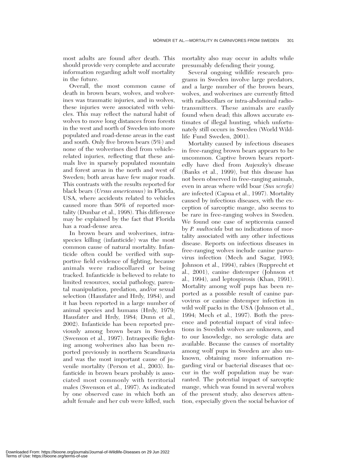most adults are found after death. This should provide very complete and accurate information regarding adult wolf mortality in the future.

Overall, the most common cause of death in brown bears, wolves, and wolverines was traumatic injuries, and in wolves, these injuries were associated with vehicles. This may reflect the natural habit of wolves to move long distances from forests in the west and north of Sweden into more populated and road-dense areas in the east and south. Only five brown bears (5%) and none of the wolverines died from vehiclerelated injuries, reflecting that these animals live in sparsely populated mountain and forest areas in the north and west of Sweden; both areas have few major roads. This contrasts with the results reported for black bears (*Ursus americanus*) in Florida, USA, where accidents related to vehicles caused more than 50% of reported mortality (Dunbar et al., 1998). This difference may be explained by the fact that Florida has a road-dense area.

In brown bears and wolverines, intraspecies killing (infanticide) was the most common cause of natural mortality. Infanticide often could be verified with supportive field evidence of fighting, because animals were radiocollared or being tracked. Infanticide is believed to relate to limited resources, social pathology, parental manipulation, predation, and/or sexual selection (Hausfater and Hrdy, 1984), and it has been reported in a large number of animal species and humans (Hrdy, 1979; Hausfater and Hrdy, 1984; Dunn et al., 2002). Infanticide has been reported previously among brown bears in Sweden (Swenson et al., 1997). Intraspecific fighting among wolverines also has been reported previously in northern Scandinavia and was the most important cause of juvenile mortality (Person et al., 2003). Infanticide in brown bears probably is associated most commonly with territorial males (Swenson et al., 1997). As indicated by one observed case in which both an adult female and her cub were killed, such

mortality also may occur in adults while presumably defending their young.

Several ongoing wildlife research programs in Sweden involve large predators, and a large number of the brown bears, wolves, and wolverines are currently fitted with radiocollars or intra-abdominal radiotransmitters. These animals are easily found when dead; this allows accurate estimates of illegal hunting, which unfortunately still occurs in Sweden (World Wildlife Fund Sweden, 2001).

Mortality caused by infectious diseases in free-ranging brown bears appears to be uncommon. Captive brown bears reportedly have died from Aujeszky's disease (Banks et al., 1999), but this disease has not been observed in free-ranging animals, even in areas where wild boar (*Sus scrofa*) are infected (Capua et al., 1997). Mortality caused by infectious diseases, with the exception of sarcoptic mange, also seems to be rare in free-ranging wolves in Sweden. We found one case of septicemia caused by *P. multocida* but no indications of mortality associated with any other infectious disease. Reports on infectious diseases in free-ranging wolves include canine parvovirus infection (Mech and Sagar, 1993; Johnson et al., 1994), rabies (Rupprecht et al., 2001), canine distemper (Johnson et al., 1994), and leptospirosis (Khan, 1991). Mortality among wolf pups has been reported as a possible result of canine parvovirus or canine distemper infection in wild wolf packs in the USA (Johnson et al., 1994; Mech et al., 1997). Both the presence and potential impact of viral infections in Swedish wolves are unknown, and to our knowledge, no serologic data are available. Because the causes of mortality among wolf pups in Sweden are also unknown, obtaining more information regarding viral or bacterial diseases that occur in the wolf population may be warranted. The potential impact of sarcoptic mange, which was found in several wolves of the present study, also deserves attention, especially given the social behavior of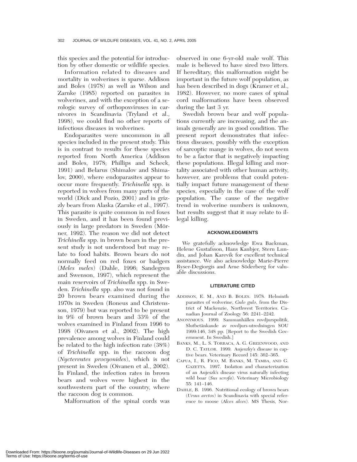this species and the potential for introduction by other domestic or wildlife species.

Information related to diseases and mortality in wolverines is sparse. Addison and Boles (1978) as well as Wilson and Zarnke (1985) reported on parasites in wolverines, and with the exception of a serologic survey of orthopoxviruses in carnivores in Scandinavia (Tryland et al., 1998), we could find no other reports of infectious diseases in wolverines.

Endoparasites were uncommon in all species included in the present study. This is in contrast to results for these species reported from North America (Addison and Boles, 1978; Phillips and Scheck, 1991) and Belarus (Shimalov and Shimalov, 2000), where endoparasites appear to occur more frequently. *Trichinella* spp. is reported in wolves from many parts of the world (Dick and Pozio, 2001) and in grizzly bears from Alaska (Zarnke et al., 1997). This parasite is quite common in red foxes in Sweden, and it has been found previously in large predators in Sweden (Mörner, 1992). The reason we did not detect *Trichinella* spp. in brown bears in the present study is not understood but may relate to food habits. Brown bears do not normally feed on red foxes or badgers (*Meles meles*) (Dahle, 1996; Sandegren and Swenson, 1997), which represent the main reservoirs of *Trichinella* spp. in Sweden. *Trichinella* spp. also was not found in 20 brown bears examined during the 1970s in Sweden (Roneus and Christensson, 1979) but was reported to be present in 9% of brown bears and 33% of the wolves examined in Finland from 1996 to 1998 (Oivanen et al., 2002). The high prevalence among wolves in Finland could be related to the high infection rate (38%) of *Trichinella* spp. in the raccoon dog (*Nyctereutes procyonides*), which is not present in Sweden (Oivanen et al., 2002). In Finland, the infection rates in brown bears and wolves were highest in the southwestern part of the country, where the raccoon dog is common.

Malformation of the spinal cords was

observed in one 6-yr-old male wolf. This male is believed to have sired two litters. If hereditary, this malformation might be important in the future wolf population, as has been described in dogs (Kramer et al., 1982). However, no more cases of spinal cord malformations have been observed during the last 3 yr.

Swedish brown bear and wolf populations currently are increasing, and the animals generally are in good condition. The present report demonstrates that infectious diseases, possibly with the exception of sarcoptic mange in wolves, do not seem to be a factor that is negatively impacting these populations. Illegal killing and mortality associated with other human activity, however, are problems that could potentially impact future management of these species, especially in the case of the wolf population. The cause of the negative trend in wolverine numbers is unknown, but results suggest that it may relate to illegal killing.

#### **ACKNOWLEDGMENTS**

We gratefully acknowledge Ewa Backman, Helene Gustafsson, Hans Kanbjer, Stern Lundin, and Johan Karevik for excellent technical assistance. We also acknowledge Marie-Pierre Ryser-Degiorgis and Arne Söderberg for valuable discussions.

#### **LITERATURE CITED**

- ADDISON, E. M., AND B. BOLES. 1978. Helminth parasites of wolverine, *Gulo gulo,* from the District of Mackenzie, Northwest Territories. Canadian Journal of Zoology 56: 2241–2242.
- ANONYMOUS. 1999. Sammanhållen rovdjurspolitik, Slutbetänkande av rovdjurs-utredningen SOU 1999:146, 348 pp. [Report to the Swedish Government. In Swedish.]
- BANKS, M., L. S. TORRACA, A. G. GREENWOOD, AND D. C. TAYLOR. 1999. Aujeszky's disease in captive bears. Veterinary Record 145: 362–365.
- CAPUA, I., R. FICO, M. BANKS, M. TAMBA, AND G. GAZETTA. 1997. Isolation and characterization of an Aujeszk's disease virus naturally infecting wild boar (*Sus scrofa*). Veterinary Microbiology 55: 141–146.
- DAHLE, B. 1996. Nutritional ecology of brown bears (*Ursus arctos*) in Scandinavia with special reference to moose (*Alces alces*). MS Thesis, Nor-